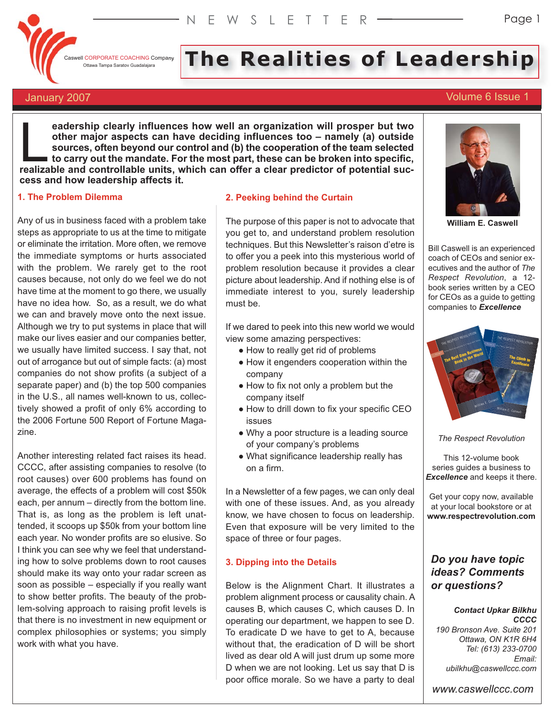

**CASWELL CORPORATE COACHING Company** 

# **I CORPORATE COACHING Company** The Realities of Leadership

# January 2007 **Volume 6 Issue 1**

**eadership clearly influences how well an organization will prosper but two other major aspects can have deciding influences too – namely (a) outside sources, often beyond our control and (b) the cooperation of the team selected to carry out the mandate. For the most part, these can be broken into specific,** eadership clearly influences how well an organization will prosper but two<br>other major aspects can have deciding influences too – namely (a) outside<br>sources, often beyond our control and (b) the cooperation of the team sel **cess and how leadership affects it.**

# **1. The Problem Dilemma**

Any of us in business faced with a problem take steps as appropriate to us at the time to mitigate or eliminate the irritation. More often, we remove the immediate symptoms or hurts associated with the problem. We rarely get to the root causes because, not only do we feel we do not have time at the moment to go there, we usually have no idea how. So, as a result, we do what we can and bravely move onto the next issue. Although we try to put systems in place that will make our lives easier and our companies better, we usually have limited success. I say that, not out of arrogance but out of simple facts: (a) most companies do not show profits (a subject of a separate paper) and (b) the top 500 companies in the U.S., all names well-known to us, collectively showed a profit of only 6% according to the 2006 Fortune 500 Report of Fortune Magazine.

Another interesting related fact raises its head. CCCC, after assisting companies to resolve (to root causes) over 600 problems has found on average, the effects of a problem will cost \$50k each, per annum – directly from the bottom line. That is, as long as the problem is left unattended, it scoops up \$50k from your bottom line each year. No wonder profits are so elusive. So I think you can see why we feel that understanding how to solve problems down to root causes should make its way onto your radar screen as soon as possible – especially if you really want to show better profits. The beauty of the problem-solving approach to raising profit levels is that there is no investment in new equipment or complex philosophies or systems; you simply work with what you have.

## **2. Peeking behind the Curtain**

The purpose of this paper is not to advocate that you get to, and understand problem resolution techniques. But this Newsletter's raison d'etre is to offer you a peek into this mysterious world of problem resolution because it provides a clear picture about leadership. And if nothing else is of immediate interest to you, surely leadership must be.

If we dared to peek into this new world we would view some amazing perspectives:

- How to really get rid of problems
- How it engenders cooperation within the company
- How to fix not only a problem but the company itself
- How to drill down to fix your specific CEO issues
- Why a poor structure is a leading source of your company's problems
- What significance leadership really has on a firm.

In a Newsletter of a few pages, we can only deal with one of these issues. And, as you already know, we have chosen to focus on leadership. Even that exposure will be very limited to the space of three or four pages.

# **3. Dipping into the Details**

Below is the Alignment Chart. It illustrates a problem alignment process or causality chain. A causes B, which causes C, which causes D. In operating our department, we happen to see D. To eradicate D we have to get to A, because without that, the eradication of D will be short lived as dear old A will just drum up some more D when we are not looking. Let us say that D is poor office morale. So we have a party to deal



**William E. Caswell**

Bill Caswell is an experienced coach of CEOs and senior executives and the author of *The Respect Revolution*, a 12 book series written by a CEO for CEOs as a guide to getting companies to *Excellence*



*The Respect Revolution*

This 12-volume book series guides a business to *Excellence* and keeps it there.

Get your copy now, available at your local bookstore or at **www.respectrevolution.com**

# *Do you have topic ideas? Comments or questions?*

### *Contact Upkar Bilkhu CCCC*

*190 Bronson Ave. Suite 201 Ottawa, ON K1R 6H4 Tel: (613) 233-0700 Email: ubilkhu@caswellccc.com*

*www.caswellccc.com*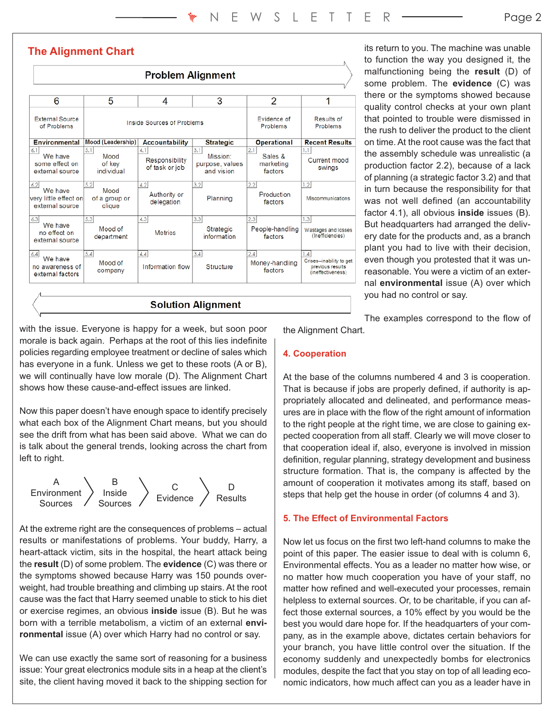# **The Alignment Chart**

| <b>Problem Alignment</b>                                   |                                        |                                         |                                                  |                                        |                                                                         |
|------------------------------------------------------------|----------------------------------------|-----------------------------------------|--------------------------------------------------|----------------------------------------|-------------------------------------------------------------------------|
| 6                                                          | 5                                      | 4                                       | 3                                                | 2                                      | 1                                                                       |
| <b>External Source</b><br>of Problems                      | Inside Sources of Problems             |                                         |                                                  | <b>Evidence of</b><br>Problems         | Results of<br>Problems                                                  |
| <b>Environmental</b>                                       | Mood (Leadership)                      | <b>Accountability</b>                   | <b>Strategic</b>                                 | <b>Operational</b>                     | <b>Recent Results</b>                                                   |
| 6.1<br>We have<br>some effect on<br>external source        | 5.1<br>Mood<br>of key<br>individual    | 4.1<br>Responsibility<br>of task or job | 3.1<br>Mission:<br>purpose, values<br>and vision | 2.1<br>Sales &<br>marketing<br>factors | 1.1<br>Current mood<br>swings                                           |
| 6.2<br>We have<br>very little effect on<br>external source | 5.2<br>Mood<br>of a group or<br>clique | 4.2<br>Authority or<br>delegation       | 3.2<br>Planning                                  | 2.2 <br>Production<br>factors          | 1.2<br>Miscommunications                                                |
| 6.3<br>We have<br>no effect on<br>external source          | 5.3<br>Mood of<br>department           | 4.3<br><b>Metrics</b>                   | 3.3<br>Strategic<br>information                  | 2.3<br>People-handling<br>factors      | 1.3<br>Wastages and losses<br>(Inefficiencies)                          |
| 6.4<br>We have<br>no awareness of<br>external factors      | 5.4<br>Mood of<br>company              | 4.4<br>Information flow                 | 3.4<br>Structure                                 | 2.4<br>Money-handling<br>factors       | 1.4<br>Crises-inability to get<br>previous results<br>(ineffectiveness) |
| <b>Solution Alignment</b>                                  |                                        |                                         |                                                  |                                        |                                                                         |

its return to you. The machine was unable to function the way you designed it, the malfunctioning being the **result** (D) of some problem. The **evidence** (C) was there or the symptoms showed because quality control checks at your own plant that pointed to trouble were dismissed in the rush to deliver the product to the client on time. At the root cause was the fact that the assembly schedule was unrealistic (a production factor 2.2), because of a lack of planning (a strategic factor 3.2) and that in turn because the responsibility for that was not well defined (an accountability factor 4.1), all obvious **inside** issues (B). But headquarters had arranged the delivery date for the products and, as a branch plant you had to live with their decision, even though you protested that it was unreasonable. You were a victim of an external **environmental** issue (A) over which you had no control or say.

with the issue. Everyone is happy for a week, but soon poor morale is back again. Perhaps at the root of this lies indefinite policies regarding employee treatment or decline of sales which has everyone in a funk. Unless we get to these roots (A or B), we will continually have low morale (D). The Alignment Chart shows how these cause-and-effect issues are linked.

Now this paper doesn't have enough space to identify precisely what each box of the Alignment Chart means, but you should see the drift from what has been said above. What we can do is talk about the general trends, looking across the chart from left to right.



At the extreme right are the consequences of problems – actual results or manifestations of problems. Your buddy, Harry, a heart-attack victim, sits in the hospital, the heart attack being the **result** (D) of some problem. The **evidence** (C) was there or the symptoms showed because Harry was 150 pounds overweight, had trouble breathing and climbing up stairs. At the root cause was the fact that Harry seemed unable to stick to his diet or exercise regimes, an obvious **inside** issue (B). But he was born with a terrible metabolism, a victim of an external **environmental** issue (A) over which Harry had no control or say.

We can use exactly the same sort of reasoning for a business issue: Your great electronics module sits in a heap at the client's site, the client having moved it back to the shipping section for

The examples correspond to the flow of

the Alignment Chart.

# **4. Cooperation**

At the base of the columns numbered 4 and 3 is cooperation. That is because if jobs are properly defined, if authority is appropriately allocated and delineated, and performance measures are in place with the flow of the right amount of information to the right people at the right time, we are close to gaining expected cooperation from all staff. Clearly we will move closer to that cooperation ideal if, also, everyone is involved in mission definition, regular planning, strategy development and business structure formation. That is, the company is affected by the amount of cooperation it motivates among its staff, based on steps that help get the house in order (of columns 4 and 3).

# **5. The Effect of Environmental Factors**

Now let us focus on the first two left-hand columns to make the point of this paper. The easier issue to deal with is column 6, Environmental effects. You as a leader no matter how wise, or no matter how much cooperation you have of your staff, no matter how refined and well-executed your processes, remain helpless to external sources. Or, to be charitable, if you can affect those external sources, a 10% effect by you would be the best you would dare hope for. If the headquarters of your company, as in the example above, dictates certain behaviors for your branch, you have little control over the situation. If the economy suddenly and unexpectedly bombs for electronics modules, despite the fact that you stay on top of all leading economic indicators, how much affect can you as a leader have in